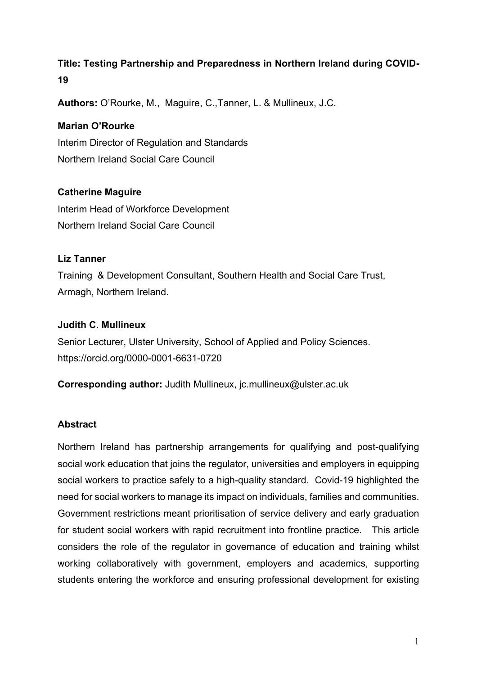# **Title: Testing Partnership and Preparedness in Northern Ireland during COVID-19**

**Authors:** O'Rourke, M., Maguire, C.,Tanner, L. & Mullineux, J.C.

### **Marian O'Rourke**

Interim Director of Regulation and Standards Northern Ireland Social Care Council

# **Catherine Maguire**

Interim Head of Workforce Development Northern Ireland Social Care Council

# **Liz Tanner**

Training & Development Consultant, Southern Health and Social Care Trust, Armagh, Northern Ireland.

### **Judith C. Mullineux**

Senior Lecturer, Ulster University, School of Applied and Policy Sciences. https://orcid.org/0000-0001-6631-0720

**Corresponding author:** Judith Mullineux, jc.mullineux@ulster.ac.uk

# **Abstract**

Northern Ireland has partnership arrangements for qualifying and post-qualifying social work education that joins the regulator, universities and employers in equipping social workers to practice safely to a high-quality standard. Covid-19 highlighted the need for social workers to manage its impact on individuals, families and communities. Government restrictions meant prioritisation of service delivery and early graduation for student social workers with rapid recruitment into frontline practice. This article considers the role of the regulator in governance of education and training whilst working collaboratively with government, employers and academics, supporting students entering the workforce and ensuring professional development for existing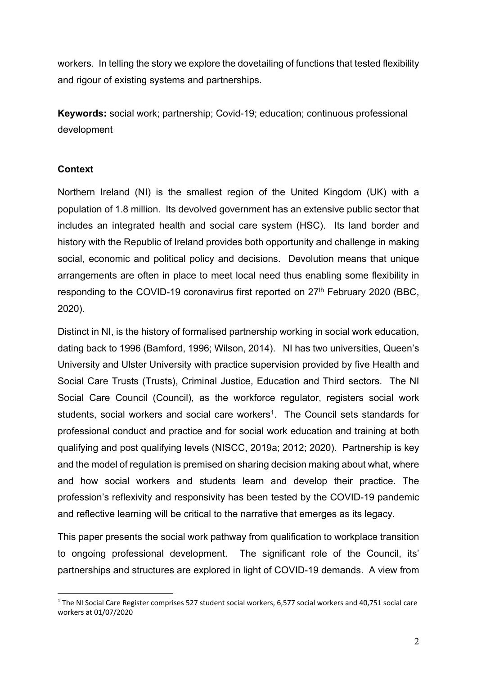workers. In telling the story we explore the dovetailing of functions that tested flexibility and rigour of existing systems and partnerships.

**Keywords:** social work; partnership; Covid-19; education; continuous professional development

# **Context**

Northern Ireland (NI) is the smallest region of the United Kingdom (UK) with a population of 1.8 million. Its devolved government has an extensive public sector that includes an integrated health and social care system (HSC). Its land border and history with the Republic of Ireland provides both opportunity and challenge in making social, economic and political policy and decisions. Devolution means that unique arrangements are often in place to meet local need thus enabling some flexibility in responding to the COVID-19 coronavirus first reported on  $27<sup>th</sup>$  February 2020 (BBC, 2020).

Distinct in NI, is the history of formalised partnership working in social work education, dating back to 1996 (Bamford, 1996; Wilson, 2014). NI has two universities, Queen's University and Ulster University with practice supervision provided by five Health and Social Care Trusts (Trusts), Criminal Justice, Education and Third sectors. The NI Social Care Council (Council), as the workforce regulator, registers social work students, social workers and social care workers<sup>1</sup>. The Council sets standards for professional conduct and practice and for social work education and training at both qualifying and post qualifying levels (NISCC, 2019a; 2012; 2020). Partnership is key and the model of regulation is premised on sharing decision making about what, where and how social workers and students learn and develop their practice. The profession's reflexivity and responsivity has been tested by the COVID-19 pandemic and reflective learning will be critical to the narrative that emerges as its legacy.

This paper presents the social work pathway from qualification to workplace transition to ongoing professional development. The significant role of the Council, its' partnerships and structures are explored in light of COVID-19 demands. A view from

 $1$  The NI Social Care Register comprises 527 student social workers, 6,577 social workers and 40,751 social care workers at 01/07/2020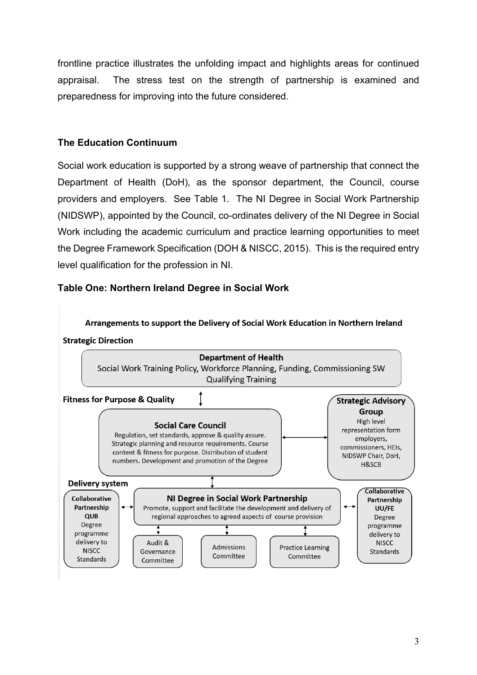frontline practice illustrates the unfolding impact and highlights areas for continued appraisal. The stress test on the strength of partnership is examined and preparedness for improving into the future considered.

# **The Education Continuum**

Social work education is supported by a strong weave of partnership that connect the Department of Health (DoH), as the sponsor department, the Council, course providers and employers. See Table 1. The NI Degree in Social Work Partnership (NIDSWP), appointed by the Council, co-ordinates delivery of the NI Degree in Social Work including the academic curriculum and practice learning opportunities to meet the Degree Framework Specification (DOH & NISCC, 2015). This is the required entry level qualification for the profession in NI.

# **Table One: Northern Ireland Degree in Social Work**

Arrangements to support the Delivery of Social Work Education in Northern Ireland **Strategic Direction** 

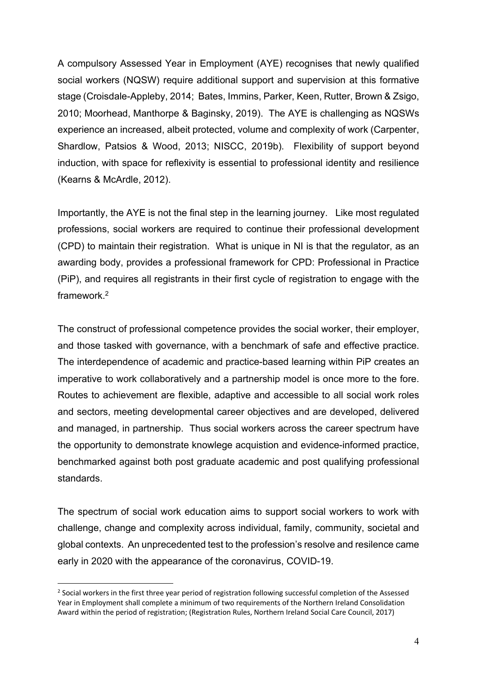A compulsory Assessed Year in Employment (AYE) recognises that newly qualified social workers (NQSW) require additional support and supervision at this formative stage (Croisdale-Appleby, 2014; Bates, Immins, Parker, Keen, Rutter, Brown & Zsigo, 2010; Moorhead, Manthorpe & Baginsky, 2019). The AYE is challenging as NQSWs experience an increased, albeit protected, volume and complexity of work (Carpenter, Shardlow, Patsios & Wood, 2013; NISCC, 2019b). Flexibility of support beyond induction, with space for reflexivity is essential to professional identity and resilience (Kearns & McArdle, 2012).

Importantly, the AYE is not the final step in the learning journey. Like most regulated professions, social workers are required to continue their professional development (CPD) to maintain their registration. What is unique in NI is that the regulator, as an awarding body, provides a professional framework for CPD: Professional in Practice (PiP), and requires all registrants in their first cycle of registration to engage with the framework. 2

The construct of professional competence provides the social worker, their employer, and those tasked with governance, with a benchmark of safe and effective practice. The interdependence of academic and practice-based learning within PiP creates an imperative to work collaboratively and a partnership model is once more to the fore. Routes to achievement are flexible, adaptive and accessible to all social work roles and sectors, meeting developmental career objectives and are developed, delivered and managed, in partnership. Thus social workers across the career spectrum have the opportunity to demonstrate knowlege acquistion and evidence-informed practice, benchmarked against both post graduate academic and post qualifying professional standards.

The spectrum of social work education aims to support social workers to work with challenge, change and complexity across individual, family, community, societal and global contexts. An unprecedented test to the profession's resolve and resilence came early in 2020 with the appearance of the coronavirus, COVID-19.

<sup>&</sup>lt;sup>2</sup> Social workers in the first three year period of registration following successful completion of the Assessed Year in Employment shall complete a minimum of two requirements of the Northern Ireland Consolidation Award within the period of registration; (Registration Rules, Northern Ireland Social Care Council, 2017)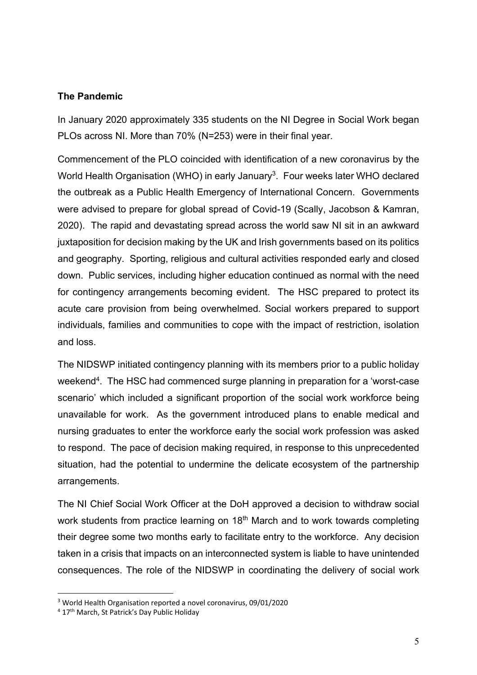#### **The Pandemic**

In January 2020 approximately 335 students on the NI Degree in Social Work began PLOs across NI. More than 70% (N=253) were in their final year.

Commencement of the PLO coincided with identification of a new coronavirus by the World Health Organisation (WHO) in early January<sup>3</sup>. Four weeks later WHO declared the outbreak as a Public Health Emergency of International Concern. Governments were advised to prepare for global spread of Covid-19 (Scally, Jacobson & Kamran, 2020). The rapid and devastating spread across the world saw NI sit in an awkward juxtaposition for decision making by the UK and Irish governments based on its politics and geography. Sporting, religious and cultural activities responded early and closed down. Public services, including higher education continued as normal with the need for contingency arrangements becoming evident. The HSC prepared to protect its acute care provision from being overwhelmed. Social workers prepared to support individuals, families and communities to cope with the impact of restriction, isolation and loss.

The NIDSWP initiated contingency planning with its members prior to a public holiday weekend<sup>4</sup>. The HSC had commenced surge planning in preparation for a 'worst-case scenario' which included a significant proportion of the social work workforce being unavailable for work. As the government introduced plans to enable medical and nursing graduates to enter the workforce early the social work profession was asked to respond. The pace of decision making required, in response to this unprecedented situation, had the potential to undermine the delicate ecosystem of the partnership arrangements.

The NI Chief Social Work Officer at the DoH approved a decision to withdraw social work students from practice learning on 18<sup>th</sup> March and to work towards completing their degree some two months early to facilitate entry to the workforce. Any decision taken in a crisis that impacts on an interconnected system is liable to have unintended consequences. The role of the NIDSWP in coordinating the delivery of social work

<sup>3</sup> World Health Organisation reported a novel coronavirus, 09/01/2020

<sup>&</sup>lt;sup>4</sup> 17<sup>th</sup> March, St Patrick's Day Public Holiday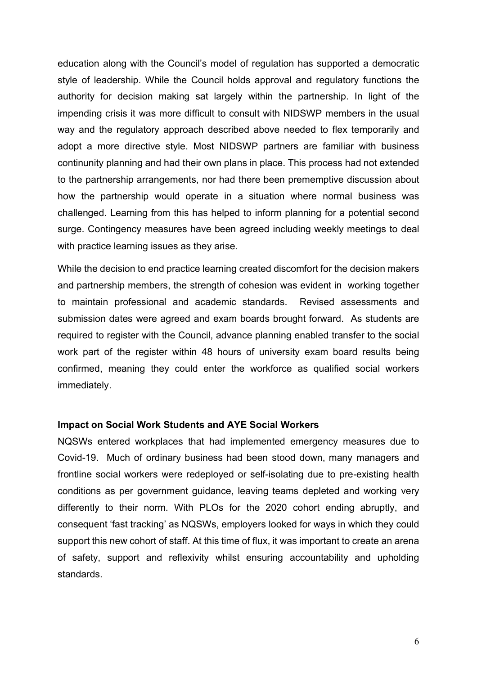education along with the Council's model of regulation has supported a democratic style of leadership. While the Council holds approval and regulatory functions the authority for decision making sat largely within the partnership. In light of the impending crisis it was more difficult to consult with NIDSWP members in the usual way and the regulatory approach described above needed to flex temporarily and adopt a more directive style. Most NIDSWP partners are familiar with business continunity planning and had their own plans in place. This process had not extended to the partnership arrangements, nor had there been prememptive discussion about how the partnership would operate in a situation where normal business was challenged. Learning from this has helped to inform planning for a potential second surge. Contingency measures have been agreed including weekly meetings to deal with practice learning issues as they arise.

While the decision to end practice learning created discomfort for the decision makers and partnership members, the strength of cohesion was evident in working together to maintain professional and academic standards. Revised assessments and submission dates were agreed and exam boards brought forward. As students are required to register with the Council, advance planning enabled transfer to the social work part of the register within 48 hours of university exam board results being confirmed, meaning they could enter the workforce as qualified social workers immediately.

#### **Impact on Social Work Students and AYE Social Workers**

NQSWs entered workplaces that had implemented emergency measures due to Covid-19. Much of ordinary business had been stood down, many managers and frontline social workers were redeployed or self-isolating due to pre-existing health conditions as per government guidance, leaving teams depleted and working very differently to their norm. With PLOs for the 2020 cohort ending abruptly, and consequent 'fast tracking' as NQSWs, employers looked for ways in which they could support this new cohort of staff. At this time of flux, it was important to create an arena of safety, support and reflexivity whilst ensuring accountability and upholding standards.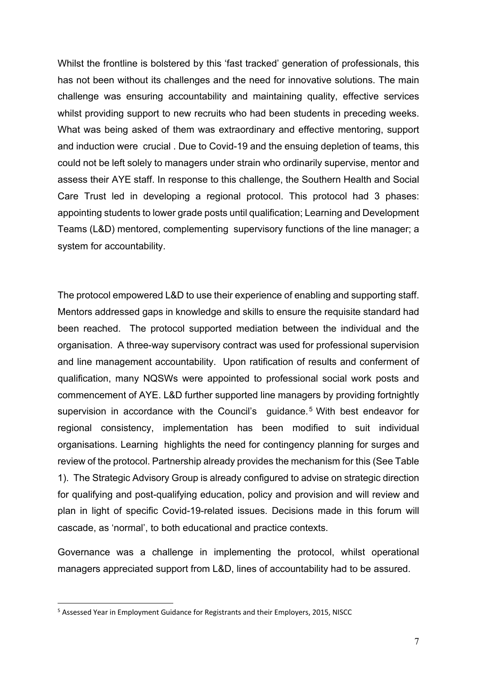Whilst the frontline is bolstered by this 'fast tracked' generation of professionals, this has not been without its challenges and the need for innovative solutions. The main challenge was ensuring accountability and maintaining quality, effective services whilst providing support to new recruits who had been students in preceding weeks. What was being asked of them was extraordinary and effective mentoring, support and induction were crucial . Due to Covid-19 and the ensuing depletion of teams, this could not be left solely to managers under strain who ordinarily supervise, mentor and assess their AYE staff. In response to this challenge, the Southern Health and Social Care Trust led in developing a regional protocol. This protocol had 3 phases: appointing students to lower grade posts until qualification; Learning and Development Teams (L&D) mentored, complementing supervisory functions of the line manager; a system for accountability.

The protocol empowered L&D to use their experience of enabling and supporting staff. Mentors addressed gaps in knowledge and skills to ensure the requisite standard had been reached. The protocol supported mediation between the individual and the organisation. A three-way supervisory contract was used for professional supervision and line management accountability. Upon ratification of results and conferment of qualification, many NQSWs were appointed to professional social work posts and commencement of AYE. L&D further supported line managers by providing fortnightly supervision in accordance with the Council's guidance.<sup>5</sup> With best endeavor for regional consistency, implementation has been modified to suit individual organisations. Learning highlights the need for contingency planning for surges and review of the protocol. Partnership already provides the mechanism for this (See Table 1). The Strategic Advisory Group is already configured to advise on strategic direction for qualifying and post-qualifying education, policy and provision and will review and plan in light of specific Covid-19-related issues. Decisions made in this forum will cascade, as 'normal', to both educational and practice contexts.

Governance was a challenge in implementing the protocol, whilst operational managers appreciated support from L&D, lines of accountability had to be assured.

<sup>&</sup>lt;sup>5</sup> Assessed Year in Employment Guidance for Registrants and their Employers, 2015, NISCC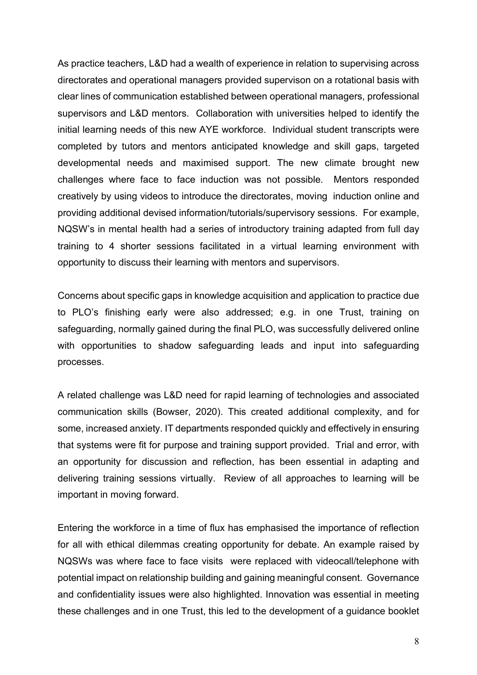As practice teachers, L&D had a wealth of experience in relation to supervising across directorates and operational managers provided supervison on a rotational basis with clear lines of communication established between operational managers, professional supervisors and L&D mentors. Collaboration with universities helped to identify the initial learning needs of this new AYE workforce. Individual student transcripts were completed by tutors and mentors anticipated knowledge and skill gaps, targeted developmental needs and maximised support. The new climate brought new challenges where face to face induction was not possible. Mentors responded creatively by using videos to introduce the directorates, moving induction online and providing additional devised information/tutorials/supervisory sessions. For example, NQSW's in mental health had a series of introductory training adapted from full day training to 4 shorter sessions facilitated in a virtual learning environment with opportunity to discuss their learning with mentors and supervisors.

Concerns about specific gaps in knowledge acquisition and application to practice due to PLO's finishing early were also addressed; e.g. in one Trust, training on safeguarding, normally gained during the final PLO, was successfully delivered online with opportunities to shadow safeguarding leads and input into safeguarding processes.

A related challenge was L&D need for rapid learning of technologies and associated communication skills (Bowser, 2020). This created additional complexity, and for some, increased anxiety. IT departments responded quickly and effectively in ensuring that systems were fit for purpose and training support provided. Trial and error, with an opportunity for discussion and reflection, has been essential in adapting and delivering training sessions virtually. Review of all approaches to learning will be important in moving forward.

Entering the workforce in a time of flux has emphasised the importance of reflection for all with ethical dilemmas creating opportunity for debate. An example raised by NQSWs was where face to face visits were replaced with videocall/telephone with potential impact on relationship building and gaining meaningful consent. Governance and confidentiality issues were also highlighted. Innovation was essential in meeting these challenges and in one Trust, this led to the development of a guidance booklet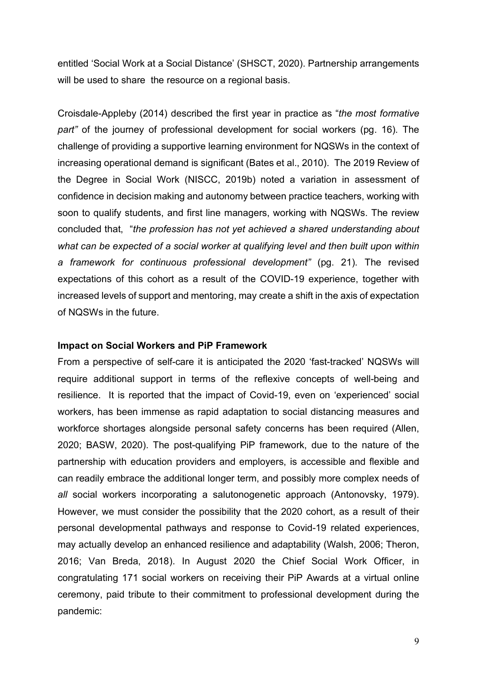entitled 'Social Work at a Social Distance' (SHSCT, 2020). Partnership arrangements will be used to share the resource on a regional basis.

Croisdale-Appleby (2014) described the first year in practice as "*the most formative part"* of the journey of professional development for social workers (pg. 16). The challenge of providing a supportive learning environment for NQSWs in the context of increasing operational demand is significant (Bates et al., 2010). The 2019 Review of the Degree in Social Work (NISCC, 2019b) noted a variation in assessment of confidence in decision making and autonomy between practice teachers, working with soon to qualify students, and first line managers, working with NQSWs. The review concluded that, "*the profession has not yet achieved a shared understanding about what can be expected of a social worker at qualifying level and then built upon within a framework for continuous professional development"* (pg. 21). The revised expectations of this cohort as a result of the COVID-19 experience, together with increased levels of support and mentoring, may create a shift in the axis of expectation of NQSWs in the future.

#### **Impact on Social Workers and PiP Framework**

From a perspective of self-care it is anticipated the 2020 'fast-tracked' NQSWs will require additional support in terms of the reflexive concepts of well-being and resilience. It is reported that the impact of Covid-19, even on 'experienced' social workers, has been immense as rapid adaptation to social distancing measures and workforce shortages alongside personal safety concerns has been required (Allen, 2020; BASW, 2020). The post-qualifying PiP framework, due to the nature of the partnership with education providers and employers, is accessible and flexible and can readily embrace the additional longer term, and possibly more complex needs of *all* social workers incorporating a salutonogenetic approach (Antonovsky, 1979). However, we must consider the possibility that the 2020 cohort, as a result of their personal developmental pathways and response to Covid-19 related experiences, may actually develop an enhanced resilience and adaptability (Walsh, 2006; Theron, 2016; Van Breda, 2018). In August 2020 the Chief Social Work Officer, in congratulating 171 social workers on receiving their PiP Awards at a virtual online ceremony, paid tribute to their commitment to professional development during the pandemic: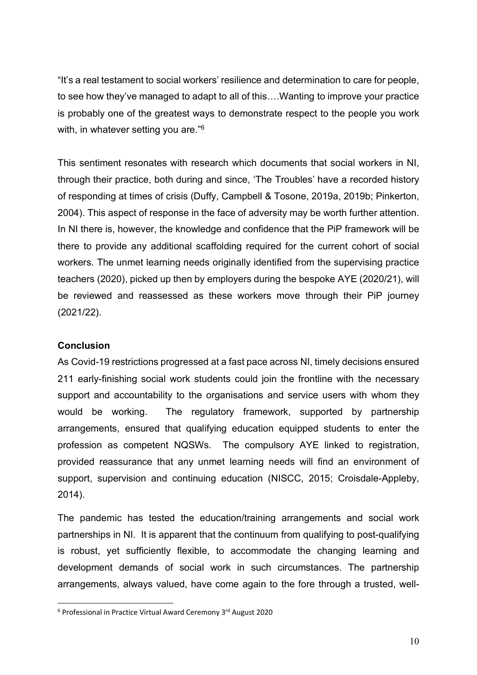"It's a real testament to social workers' resilience and determination to care for people, to see how they've managed to adapt to all of this….Wanting to improve your practice is probably one of the greatest ways to demonstrate respect to the people you work with, in whatever setting you are."<sup>6</sup>

This sentiment resonates with research which documents that social workers in NI, through their practice, both during and since, 'The Troubles' have a recorded history of responding at times of crisis (Duffy, Campbell & Tosone, 2019a, 2019b; Pinkerton, 2004). This aspect of response in the face of adversity may be worth further attention. In NI there is, however, the knowledge and confidence that the PiP framework will be there to provide any additional scaffolding required for the current cohort of social workers. The unmet learning needs originally identified from the supervising practice teachers (2020), picked up then by employers during the bespoke AYE (2020/21), will be reviewed and reassessed as these workers move through their PiP journey (2021/22).

#### **Conclusion**

As Covid-19 restrictions progressed at a fast pace across NI, timely decisions ensured 211 early-finishing social work students could join the frontline with the necessary support and accountability to the organisations and service users with whom they would be working. The regulatory framework, supported by partnership arrangements, ensured that qualifying education equipped students to enter the profession as competent NQSWs. The compulsory AYE linked to registration, provided reassurance that any unmet learning needs will find an environment of support, supervision and continuing education (NISCC, 2015; Croisdale-Appleby, 2014).

The pandemic has tested the education/training arrangements and social work partnerships in NI. It is apparent that the continuum from qualifying to post-qualifying is robust, yet sufficiently flexible, to accommodate the changing learning and development demands of social work in such circumstances. The partnership arrangements, always valued, have come again to the fore through a trusted, well-

<sup>&</sup>lt;sup>6</sup> Professional in Practice Virtual Award Ceremony 3<sup>rd</sup> August 2020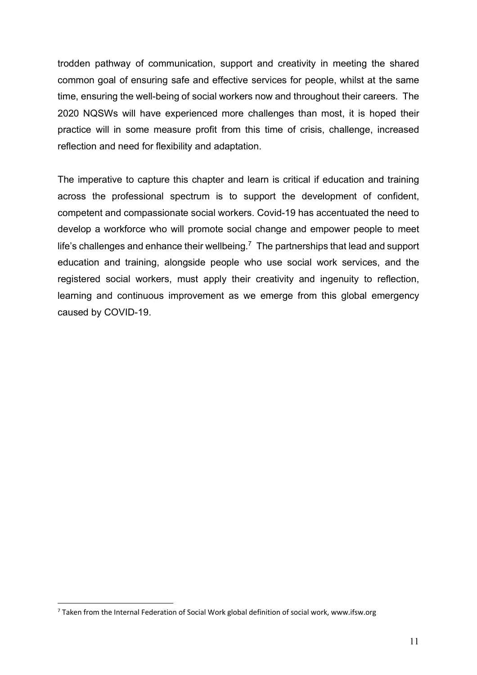trodden pathway of communication, support and creativity in meeting the shared common goal of ensuring safe and effective services for people, whilst at the same time, ensuring the well-being of social workers now and throughout their careers. The 2020 NQSWs will have experienced more challenges than most, it is hoped their practice will in some measure profit from this time of crisis, challenge, increased reflection and need for flexibility and adaptation.

The imperative to capture this chapter and learn is critical if education and training across the professional spectrum is to support the development of confident, competent and compassionate social workers. Covid-19 has accentuated the need to develop a workforce who will promote social change and empower people to meet life's challenges and enhance their wellbeing. $<sup>7</sup>$  The partnerships that lead and support</sup> education and training, alongside people who use social work services, and the registered social workers, must apply their creativity and ingenuity to reflection, learning and continuous improvement as we emerge from this global emergency caused by COVID-19.

 $7$  Taken from the Internal Federation of Social Work global definition of social work, www.ifsw.org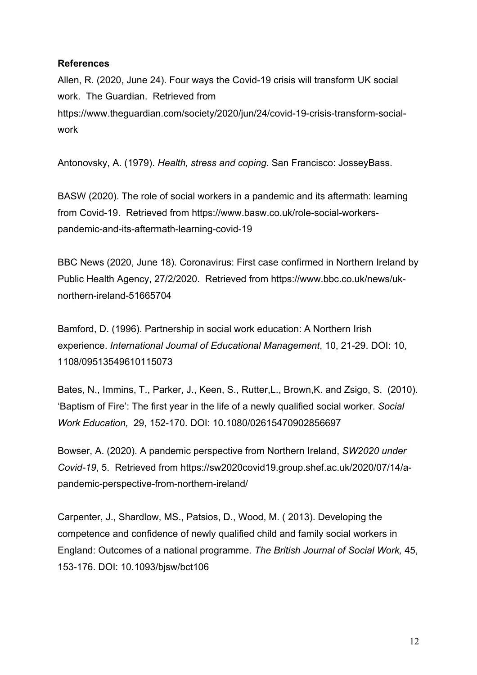#### **References**

Allen, R. (2020, June 24). Four ways the Covid-19 crisis will transform UK social work. The Guardian. Retrieved from https://www.theguardian.com/society/2020/jun/24/covid-19-crisis-transform-socialwork

Antonovsky, A. (1979). *Health, stress and coping*. San Francisco: JosseyBass.

BASW (2020). The role of social workers in a pandemic and its aftermath: learning from Covid-19. Retrieved from https://www.basw.co.uk/role-social-workerspandemic-and-its-aftermath-learning-covid-19

BBC News (2020, June 18). Coronavirus: First case confirmed in Northern Ireland by Public Health Agency, 27/2/2020. Retrieved from https://www.bbc.co.uk/news/uknorthern-ireland-51665704

Bamford, D. (1996). Partnership in social work education: A Northern Irish experience. *International Journal of Educational Management*, 10, 21-29. DOI: 10, 1108/09513549610115073

Bates, N., Immins, T., Parker, J., Keen, S., Rutter,L., Brown,K. and Zsigo, S. (2010). 'Baptism of Fire': The first year in the life of a newly qualified social worker. *Social Work Education,* 29, 152-170. DOI: 10.1080/02615470902856697

Bowser, A. (2020). A pandemic perspective from Northern Ireland, *SW2020 under Covid-19*, 5. Retrieved from https://sw2020covid19.group.shef.ac.uk/2020/07/14/apandemic-perspective-from-northern-ireland/

Carpenter, J., Shardlow, MS., Patsios, D., Wood, M. ( 2013). Developing the competence and confidence of newly qualified child and family social workers in England: Outcomes of a national programme*. The British Journal of Social Work,* 45, 153-176. DOI: 10.1093/bjsw/bct106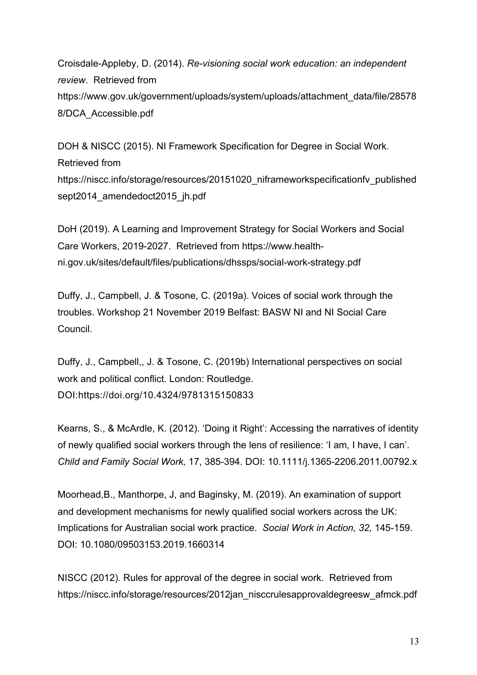Croisdale-Appleby, D. (2014). *Re-visioning social work education: an independent review*. Retrieved from https://www.gov.uk/government/uploads/system/uploads/attachment\_data/file/28578 8/DCA\_Accessible.pdf

DOH & NISCC (2015). NI Framework Specification for Degree in Social Work. Retrieved from https://niscc.info/storage/resources/20151020\_niframeworkspecificationfv\_published sept2014\_amendedoct2015\_jh.pdf

DoH (2019). A Learning and Improvement Strategy for Social Workers and Social Care Workers, 2019-2027. Retrieved from https://www.healthni.gov.uk/sites/default/files/publications/dhssps/social-work-strategy.pdf

Duffy, J., Campbell, J. & Tosone, C. (2019a). Voices of social work through the troubles. Workshop 21 November 2019 Belfast: BASW NI and NI Social Care Council.

Duffy, J., Campbell,, J. & Tosone, C. (2019b) International perspectives on social work and political conflict. London: Routledge. DOI:https://doi.org/10.4324/9781315150833

Kearns, S., & McArdle, K. (2012). 'Doing it Right': Accessing the narratives of identity of newly qualified social workers through the lens of resilience: 'I am, I have, I can'. *Child and Family Social Work,* 17, 385-394. DOI: 10.1111/j.1365-2206.2011.00792.x

Moorhead,B., Manthorpe, J, and Baginsky, M. (2019). An examination of support and development mechanisms for newly qualified social workers across the UK: Implications for Australian social work practice. *Social Work in Action, 32,* 145-159. DOI: 10.1080/09503153.2019.1660314

NISCC (2012). Rules for approval of the degree in social work. Retrieved from https://niscc.info/storage/resources/2012jan\_nisccrulesapprovaldegreesw\_afmck.pdf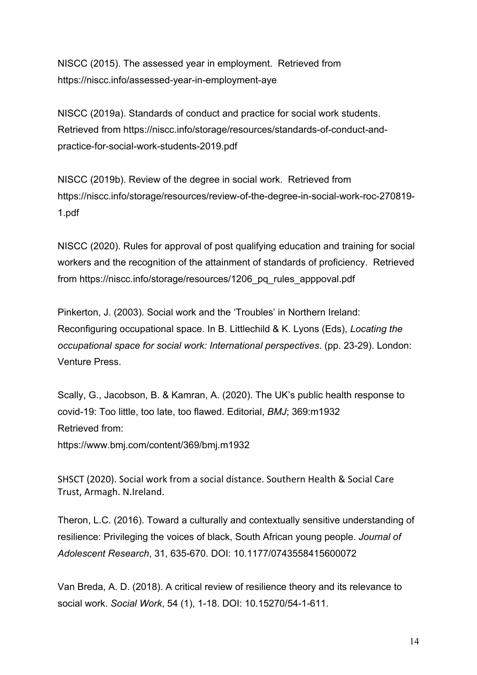NISCC (2015). The assessed year in employment. Retrieved from https://niscc.info/assessed-year-in-employment-aye

NISCC (2019a). Standards of conduct and practice for social work students. Retrieved from https://niscc.info/storage/resources/standards-of-conduct-andpractice-for-social-work-students-2019.pdf

NISCC (2019b). Review of the degree in social work. Retrieved from https://niscc.info/storage/resources/review-of-the-degree-in-social-work-roc-270819- 1.pdf

NISCC (2020). Rules for approval of post qualifying education and training for social workers and the recognition of the attainment of standards of proficiency. Retrieved from https://niscc.info/storage/resources/1206\_pq\_rules\_apppoval.pdf

Pinkerton, J. (2003). Social work and the 'Troubles' in Northern Ireland: Reconfiguring occupational space. In B. Littlechild & K. Lyons (Eds), *Locating the occupational space for social work: International perspectives*. (pp. 23-29). London: Venture Press.

Scally, G., Jacobson, B. & Kamran, A. (2020). The UK's public health response to covid-19: Too little, too late, too flawed. Editorial, *BMJ*; 369:m1932 Retrieved from:

https://www.bmj.com/content/369/bmj.m1932

SHSCT (2020). Social work from a social distance. Southern Health & Social Care Trust, Armagh. N.Ireland.

Theron, L.C. (2016). Toward a culturally and contextually sensitive understanding of resilience: Privileging the voices of black, South African young people. *Journal of Adolescent Research*, 31, 635-670. DOI: 10.1177/0743558415600072

Van Breda, A. D. (2018). A critical review of resilience theory and its relevance to social work. *Social Work*, 54 (1), 1-18. DOI: 10.15270/54-1-611.